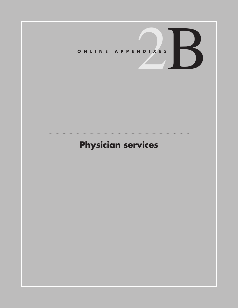# **Physician services**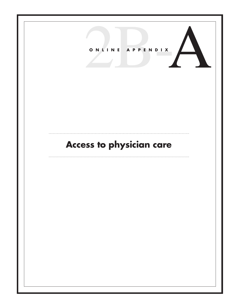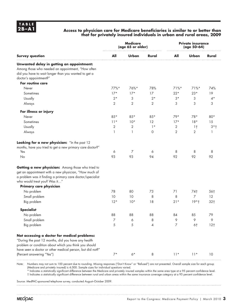#### **2B –A1 Access to physician care for Medicare beneficiaries is similar to or better than that for privately insured individuals in urban and rural areas, 2009**

|                                                                                                                                                                                                                                                        | <b>Medicare</b><br>(age 65 or older) |                      |             | <b>Private insurance</b><br>(age 50-64) |                          |                       |
|--------------------------------------------------------------------------------------------------------------------------------------------------------------------------------------------------------------------------------------------------------|--------------------------------------|----------------------|-------------|-----------------------------------------|--------------------------|-----------------------|
| <b>Survey question</b>                                                                                                                                                                                                                                 | All                                  | Urban                | Rural       | All                                     | Urban                    | Rural                 |
| Unwanted delay in getting an appointment:<br>Among those who needed an appointment, "How often<br>did you have to wait longer than you wanted to get a<br>doctor's appointment?"<br>For routine care                                                   |                                      |                      |             |                                         |                          |                       |
| Never                                                                                                                                                                                                                                                  | 77%*                                 | 76%*                 | 78%         | $71\%$ *                                | $71\%$ *                 | 74%                   |
| Sometimes                                                                                                                                                                                                                                              | $17*$                                | $17*$                | 17          | $22*$                                   | $23*$                    | 19                    |
| Usually                                                                                                                                                                                                                                                | $2*$                                 | 3                    | $2*$        | $3*$                                    | 3                        | $4*$                  |
| Always                                                                                                                                                                                                                                                 | 2                                    | $\overline{2}$       | 2           | 3                                       | 3                        | 3                     |
| For illness or injury                                                                                                                                                                                                                                  |                                      |                      |             |                                         |                          |                       |
| Never                                                                                                                                                                                                                                                  | $85*$                                | $85*$                | $85*$       | 79*                                     | 78*                      | 80*                   |
| Sometimes                                                                                                                                                                                                                                              | $11*$                                | $10*$                | 12          | $17*$                                   | $18*$                    | 15                    |
| Usually                                                                                                                                                                                                                                                | 2                                    | $\overline{2}$       | $1*$        | 2                                       | 1 <sub>1</sub>           | $3*1$                 |
| Always                                                                                                                                                                                                                                                 | $\mathbf{1}$                         | 1                    | $\mathbf 0$ | $\overline{2}$                          | 2                        | 1                     |
| Looking for a new physician: "In the past 12<br>months, have you tried to get a new primary care doctor?"<br>Yes<br>No                                                                                                                                 | 6<br>93                              | $\overline{7}$<br>93 | 6<br>94     | 8<br>92                                 | 8<br>92                  | 8<br>92               |
| Getting a new physician: Among those who tried to<br>get an appointment with a new physician, "How much of<br>a problem was it finding a primary care doctor/specialist<br>who would treat you? Was it"<br>Primary care physician                      |                                      |                      |             |                                         |                          |                       |
| No problem                                                                                                                                                                                                                                             | 78                                   | 80                   | 73          | 71                                      | 74†                      | 56†                   |
| Small problem<br>Big problem                                                                                                                                                                                                                           | 10<br>$12*$                          | 10<br>$10*$          | 8<br>18     | 8<br>$21*$                              | $\overline{7}$<br>$19*1$ | 12<br>32 <sub>1</sub> |
| <b>Specialist</b>                                                                                                                                                                                                                                      |                                      |                      |             |                                         |                          |                       |
| No problem                                                                                                                                                                                                                                             | 88                                   | 88                   | 88          | 84                                      | 85                       | 79                    |
| Small problem                                                                                                                                                                                                                                          | 7                                    | 6                    | 8           | 9                                       | 9                        | 9                     |
| Big problem                                                                                                                                                                                                                                            | 5                                    | 5                    | 4           | 7                                       | 6†                       | 12 <sub>1</sub>       |
| Not accessing a doctor for medical problems:<br>"During the past 12 months, did you have any health<br>problem or condition about which you think you should<br>have seen a doctor or other medical person, but did not?"<br>(Percent answering "Yes") | $7*$                                 | $6*$                 | 8           | $11*$                                   | $11*$                    | 10                    |
|                                                                                                                                                                                                                                                        |                                      |                      |             |                                         |                          |                       |

Note: Numbers may not sum to 100 percent due to rounding. Missing responses ("Don't Know" or "Refused") are not presented. Overall sample size for each group (Medicare and privately insured) is 4,000. Sample sizes for individual questions varied.

\* Indicates a statistically significant difference between the Medicare and privately insured samples within the same area type at a 95 percent confidence level.

† Indicates a statistically significant difference between rural and urban areas within the same insurance coverage category at a 95 percent confidence level.

Source: MedPAC-sponsored telephone survey, conducted August–October 2009.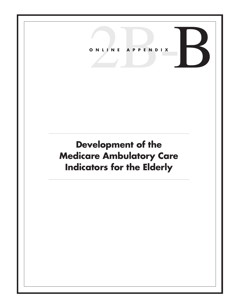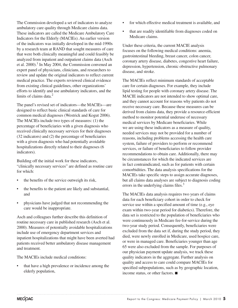The Commission developed a set of indicators to analyze ambulatory care quality through Medicare claims data. These indicators are called the Medicare Ambulatory Care Indicators for the Elderly (MACIEs). An earlier version of the indicators was initially developed in the mid-1990s by a research team at RAND that sought measures of care that were both clinically meaningful and could feasibly be analyzed from inpatient and outpatient claims data (Asch et al.  $2000$ .<sup>1</sup> In May 2004, the Commission convened an expert panel of physicians, clinicians, and researchers to review and update the original indicators to reflect current medical practice. The experts reviewed clinical evidence from existing clinical guidelines, other organizations' efforts to identify and use ambulatory indicators, and the limits of claims data. $<sup>2</sup>$ </sup>

The panel's revised set of indicators—the MACIEs—are designed to reflect basic clinical standards of care for common medical diagnoses (Westrick and Kogut 2006). The MACIEs include two types of measures: (1) the percentage of beneficiaries with a given diagnosis who received clinically necessary services for their diagnoses (32 indicators) and (2) the percentage of beneficiaries with a given diagnosis who had potentially avoidable hospitalizations directly related to their diagnoses (6 indicators).

Building off the initial work for these indicators, "clinically necessary services" are defined as routine care for which:

- the benefits of the service outweigh its risk,
- the benefits to the patient are likely and substantial, and
- • physicians have judged that not recommending the care would be inappropriate.

Asch and colleagues further describe this definition of routine necessary care in published research (Asch et al. 2000). Measures of potentially avoidable hospitalizations include use of emergency department services and inpatient hospitalizations that might have been averted had patients received better ambulatory disease management and treatment.

The MACIEs include medical conditions:

• that have a high prevalence or incidence among the elderly population,

- for which effective medical treatment is available, and
- that are readily identifiable from diagnoses coded on Medicare claims.

Under these criteria, the current MACIE analysis focuses on the following medical conditions: anemia, gastrointestinal bleeding, breast cancer, colon cancer, coronary artery disease, diabetes, congestive heart failure, depression, hypertension, chronic obstructive pulmonary disease, and stroke.

The MACIEs reflect minimum standards of acceptable care for certain diagnoses. For example, they include lipid testing for people with coronary artery disease. The MACIE indicators are not intended to show optimal care, and they cannot account for reasons why patients do not receive necessary care. Because these measures can be derived from claims data, they provide a resource-efficient method to monitor potential underuse of necessary medical services by Medicare beneficiaries. While we are using these indicators as a measure of quality, needed services may not be provided for a number of reasons, including problems accessing the health care system, failure of providers to perform or recommend services, or failure of beneficiaries to follow provider recommendations to obtain care. Additionally, there may be circumstances for which the indicated services are in fact contraindicated, such as for patients with certain comorbidities. The data analysis specifications for the MACIEs take specific steps to assign accurate diagnoses, but all claims data analyses are subject to diagnosis coding errors in the underlying claims files.<sup>3</sup>

The MACIEs data analysis requires two years of claims data for each beneficiary cohort in order to check for service use within a specified amount of time (e.g., eye exam within two-year period for diabetics). Therefore, the data set is restricted to the population of beneficiaries who were continuously in Medicare fee-for-service during the two-year study period. Consequently, beneficiaries were excluded from the data set if, during the study period, they died, were newly enrolled in Medicare, used hospice care, or were in managed care. Beneficiaries younger than age 65 were also excluded from the sample. For purposes of our physician payment update analysis, we track these quality indicators in the aggregate. Further analysis on quality and access to care could compare MACIEs for specified subpopulations, such as by geographic location, income status, or other factors. ■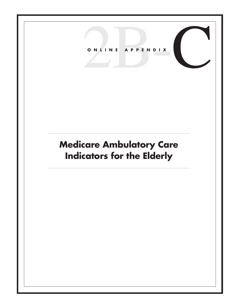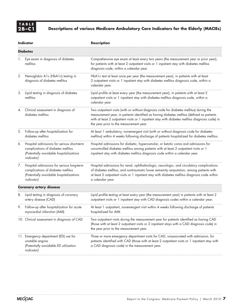|    | <b>Indicator</b>                                                                                                                                 | <b>Description</b>                                                                                                                                                                                                                                                                                                                 |
|----|--------------------------------------------------------------------------------------------------------------------------------------------------|------------------------------------------------------------------------------------------------------------------------------------------------------------------------------------------------------------------------------------------------------------------------------------------------------------------------------------|
|    | <b>Diabetes</b>                                                                                                                                  |                                                                                                                                                                                                                                                                                                                                    |
| 1. | Eye exam in diagnosis of diabetes<br>mellitus                                                                                                    | Comprehensive eye exam at least every two years (the measurement year or prior year),<br>for patients with at least 2 outpatient visits or 1 inpatient stay with diabetes mellitus<br>diagnosis code, within a calendar year.                                                                                                      |
| 2. | Hemoglobin A1c (HbA1c) testing in<br>diagnosis of diabetes mellitus                                                                              | HbA1c test at least once per year (the measurement year), in patients with at least<br>2 outpatient visits or 1 inpatient stay with diabetes mellitus diagnosis code, within a<br>calendar year.                                                                                                                                   |
| 3. | Lipid testing in diagnosis of diabetes<br>mellitus                                                                                               | Lipid profile at least every year (the measurement year), in patients with at least 2<br>outpatient visits or 1 inpatient stay with diabetes mellitus diagnosis code, within a<br>calendar year.                                                                                                                                   |
| 4. | Clinical assessment in diagnosis of<br>diabetes mellitus                                                                                         | Two outpatient visits (with or without diagnosis code for diabetes mellitus) during the<br>measurement year, in patients identified as having diabetes mellitus (defined as patients<br>with at least 2 outpatient visits or 1 inpatient stay with diabetes mellitus diagnosis code) in<br>the year prior to the measurement year. |
| 5. | Follow-up after hospitalization for<br>diabetes mellitus                                                                                         | At least 1 ambulatory, nonemergent visit (with or without diagnosis code for diabetes<br>mellitus) within 4 weeks following discharge of patients hospitalized for diabetes mellitus.                                                                                                                                              |
| 6. | Hospital admissions for serious short-term<br>complications of diabetes mellitus<br>(Potentially avoidable hospitalizations<br><i>indicator)</i> | Hospital admissions for diabetic, hyperosmolar, or ketotic coma and admissions for<br>uncontrolled diabetes mellitus among patients with at least 2 outpatient visits or 1<br>inpatient stay with diabetes mellitus diagnosis code within a calendar year.                                                                         |
| 7. | Hospital admissions for serious long-term<br>complications of diabetes mellitus<br>(Potentially avoidable hospitalizations<br>indicator)         | Hospital admissions for renal, ophthalmologic, neurologic, and circulatory complications<br>of diabetes mellitus, and nontraumatic lower extremity amputation, among patients with<br>at least 2 outpatient visits or 1 inpatient stay with diabetes mellitus diagnosis code within<br>a calendar year.                            |
|    | <b>Coronary artery disease</b>                                                                                                                   |                                                                                                                                                                                                                                                                                                                                    |
| 8. | Lipid testing in diagnosis of coronary<br>artery disease (CAD)                                                                                   | Lipid profile testing at least every year (the measurement year) in patients with at least 2<br>outpatient visits or 1 inpatient stay with CAD diagnosis codes within a calendar year.                                                                                                                                             |
| 9. | Follow-up after hospitalization for acute<br>myocardial infarction (AMI)                                                                         | At least 1 outpatient, nonemergent visit within 4 weeks following discharge of patients<br>hospitalized for AMI.                                                                                                                                                                                                                   |
|    | 10. Clinical assessment in diagnosis of CAD                                                                                                      | Two outpatient visits during the measurement year for patients identified as having CAD<br>(those with at least 2 outpatient visits or 2 inpatient stays with a CAD diagnosis code) in<br>the year prior to the measurement year.                                                                                                  |
|    | 11. Emergency department (ED) use for<br>unstable angina<br>(Potentially avoidable ED utilization<br>indicator)                                  | Three or more emergency department visits for CAD, unassociated with admission, for<br>patients identified with CAD (those with at least 2 outpatient visits or 1 inpatient stay with<br>a CAD diagnosis code) in the measurement year.                                                                                            |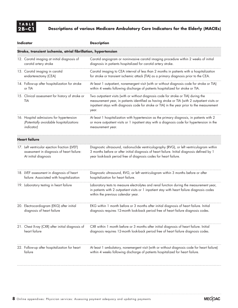| Indicator                                                                                                          | <b>Description</b>                                                                                                                                                                                                                                                                           |
|--------------------------------------------------------------------------------------------------------------------|----------------------------------------------------------------------------------------------------------------------------------------------------------------------------------------------------------------------------------------------------------------------------------------------|
| Stroke, transient ischemia, atrial fibrillation, hypertension                                                      |                                                                                                                                                                                                                                                                                              |
| 12. Carotid imaging at initial diagnosis of<br>carotid artery stroke                                               | Carotid angiogram or noninvasive carotid imaging procedure within 2 weeks of initial<br>diagnosis in patients hospitalized for carotid artery stroke.                                                                                                                                        |
| 13. Carotid imaging in carotid<br>endarterectomy (CEA)                                                             | Carotid imaging to CEA interval of less than 2 months in patients with a hospitalization<br>for stroke or transient ischemic attack (TIA) as a primary diagnosis prior to the CEA.                                                                                                           |
| 14. Follow-up after hospitalization for stroke<br>or TIA                                                           | At least 1 outpatient, nonemergent visit (with or without diagnosis code for stroke or TIA)<br>within 4 weeks following discharge of patients hospitalized for stroke or TIA.                                                                                                                |
| 15. Clinical assessment for history of stroke or<br>TIA                                                            | Two outpatient visits (with or without diagnosis code for stroke or TIA) during the<br>measurement year, in patients identified as having stroke or TIA (with 2 outpatient visits or<br>inpatient stays with diagnosis code for stroke or TIA) in the year prior to the measurement<br>year. |
| 16. Hospital admissions for hypertension<br>(Potentially avoidable hospitalizations<br>indicator)                  | At least 1 hospitalization with hypertension as the primary diagnosis, in patients with 2<br>or more outpatient visits or 1 inpatient stay with a diagnosis code for hypertension in the<br>measurement year.                                                                                |
| <b>Heart failure</b>                                                                                               |                                                                                                                                                                                                                                                                                              |
| 17. Left ventricular ejection fraction (LVEF)<br>assessment in diagnosis of heart failure:<br>At initial diagnosis | Diagnostic ultrasound, radionuclide ventriculography (RVG), or left ventriculogram within<br>3 months before or after initial diagnosis of heart failure. Initial diagnosis defined by 1<br>year look-back period free of diagnosis codes for heart failure.                                 |
| 18. LVEF assessment in diagnosis of heart<br>failure: Associated with hospitalization                              | Diagnostic ultrasound, RVG, or left ventriculogram within 3 months before or after<br>hospitalization for heart failure.                                                                                                                                                                     |
| 19. Laboratory testing in heart failure                                                                            | Laboratory tests to measure electrolytes and renal function during the measurement year,<br>in patients with 2 outpatient visits or 1 inpatient stay with heart failure diagnosis codes<br>within the previous calendar year.                                                                |
| 20. Electrocardiogram (EKG) after initial<br>diagnosis of heart failure                                            | EKG within 1 month before or 3 months after initial diagnosis of heart failure. Initial<br>diagnosis requires 12-month look-back period free of heart failure diagnosis codes.                                                                                                               |
| 21. Chest X-ray (CXR) after initial diagnosis of<br>heart failure                                                  | CXR within 1 month before or 3 months after initial diagnosis of heart failure. Initial<br>diagnosis requires 12-month look-back period free of heart failure diagnosis codes.                                                                                                               |
| 22. Follow-up after hospitalization for heart<br>failure                                                           | At least 1 ambulatory, nonemergent visit (with or without diagnosis code for heart failure)<br>within 4 weeks following discharge of patients hospitalized for heart failure.                                                                                                                |

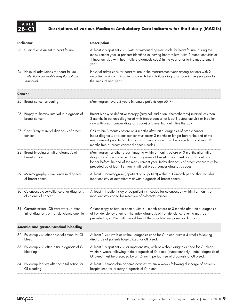| <b>Indicator</b>                                                                                   | <b>Description</b>                                                                                                                                                                                                                                                                                                                            |
|----------------------------------------------------------------------------------------------------|-----------------------------------------------------------------------------------------------------------------------------------------------------------------------------------------------------------------------------------------------------------------------------------------------------------------------------------------------|
| 23. Clinical assessment in heart failure                                                           | At least 2 outpatient visits (with or without diagnosis code for heart failure) during the<br>measurement year in patients identified as having heart failure (with 2 outpatient visits or<br>1 inpatient stay with heart failure diagnosis code) in the year prior to the measurement<br>year.                                               |
| 24. Hospital admissions for heart failure<br>(Potentially avoidable hospitalizations<br>indicator) | Hospital admissions for heart failure in the measurement year among patients with 2<br>outpatient visits or 1 inpatient stay with heart failure diagnosis code in the year prior to<br>the measurement year.                                                                                                                                  |
| Cancer                                                                                             |                                                                                                                                                                                                                                                                                                                                               |
| 25. Breast cancer screening                                                                        | Mammogram every 2 years in female patients age 65-74.                                                                                                                                                                                                                                                                                         |
| 26. Biopsy to therapy interval in diagnosis of<br>breast cancer                                    | Breast biopsy to definitive therapy (surgical, radiation, chemotherapy) interval less than<br>3 months in patients diagnosed with breast cancer (at least 1 outpatient visit or inpatient<br>stay with breast cancer diagnosis code) and eventual definitive therapy.                                                                         |
| 27. Chest X-ray at initial diagnosis of breast<br>cancer                                           | CXR within 3 months before or 3 months after initial diagnosis of breast cancer.<br>Index diagnosis of breast cancer must occur 3 months or longer before the end of the<br>measurement year. Index diagnosis of breast cancer must be preceded by at least 12<br>months free of breast cancer diagnosis codes.                               |
| 28. Breast imaging at initial diagnosis of<br>breast cancer                                        | Mammogram or other breast imaging within 3 months before or 3 months after initial<br>diagnosis of breast cancer. Index diagnosis of breast cancer must occur 3 months or<br>longer before the end of the measurement year. Index diagnosis of breast cancer must be<br>preceded by at least 12 months without breast cancer diagnosis codes. |
| 29. Mammography surveillance in diagnosis<br>of breast cancer                                      | At least 1 mammogram (inpatient or outpatient) within a 12-month period that includes<br>inpatient stay or outpatient visit with diagnosis of breast cancer.                                                                                                                                                                                  |
| 30. Colonoscopic surveillance after diagnosis<br>of colorectal cancer                              | At least 1 inpatient stay or outpatient visit coded for colonoscopy within 12 months of<br>inpatient stay coded for resection of colorectal cancer.                                                                                                                                                                                           |
| 31. Gastrointestinal (GI) tract work-up after<br>initial diagnosis of iron-deficiency anemia       | Colonoscopy or barium enema within 1 month before or 3 months after initial diagnosis<br>of iron-deficiency anemia. The index diagnosis of iron-deficiency anemia must be<br>preceded by a 12-month period free of the iron-deficiency anemia diagnosis.                                                                                      |
| Anemia and gastrointestinal bleeding                                                               |                                                                                                                                                                                                                                                                                                                                               |
| 32. Follow-up visit after hospitalization for GI<br>bleed                                          | At least 1 visit (with or without diagnosis code for GI bleed) within 4 weeks following<br>discharge of patients hospitalized for GI bleed.                                                                                                                                                                                                   |
| 33. Follow-up visit after initial diagnosis of GI<br>bleeding                                      | At least 1 outpatient visit or inpatient stay, with or without diagnosis code for GI bleed,<br>within 4 weeks following initial diagnosis of GI bleed (outpatient only). Index diagnosis of<br>GI bleed must be preceded by a 12-month period free of diagnosis of GI bleed.                                                                  |
| 34. Follow-up lab test after hospitalization for<br>GI bleeding                                    | At least 1 hemoglobin or hematocrit test within 4 weeks following discharge of patients<br>hospitalized for primary diagnosis of GI bleed.                                                                                                                                                                                                    |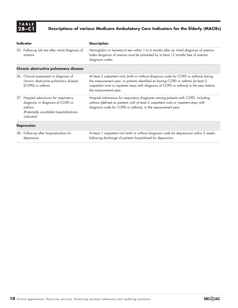| Indicator                                                                                                                                              | <b>Description</b>                                                                                                                                                                                                                                                                                 |
|--------------------------------------------------------------------------------------------------------------------------------------------------------|----------------------------------------------------------------------------------------------------------------------------------------------------------------------------------------------------------------------------------------------------------------------------------------------------|
| 35. Follow-up lab test after initial diagnosis of<br>anemia                                                                                            | Hemoglobin or hematocrit test within 1 to 6 months after an initial diagnosis of anemia.<br>Index diagnosis of anemia must be preceded by at least 12 months free of anemia<br>diagnosis codes.                                                                                                    |
| Chronic obstructive pulmonary disease                                                                                                                  |                                                                                                                                                                                                                                                                                                    |
| 36. Clinical assessment in diagnosis of<br>chronic obstructive pulmonary disease<br>(COPD) or asthma                                                   | At least 2 outpatient visits (with or without diagnosis code for COPD or asthma) during<br>the measurement year, in patients identified as having COPD or asthma (at least 2<br>outpatient visits or inpatient stays with diagnosis of COPD or asthma) in the year before<br>the measurement year. |
| 37. Hospital admissions for respiratory<br>diagnosis in diagnosis of COPD or<br>asthma<br>(Potentially avoidable hospitalizations<br><i>indicator)</i> | Hospital admissions for respiratory diagnoses among patients with COPD, including<br>asthma (defined as patients with at least 2 outpatient visits or inpatient stays with<br>diagnosis code for COPD or asthma), in the measurement year.                                                         |
| <b>Depression</b>                                                                                                                                      |                                                                                                                                                                                                                                                                                                    |
| 38. Follow-up after hospitalization for<br>depression                                                                                                  | At least 1 outpatient visit (with or without diagnosis code for depression) within 2 weeks<br>following discharge of patients hospitalized for depression.                                                                                                                                         |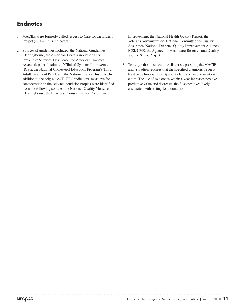## **Endnotes**

- 1 MACIEs were formerly called Access to Care for the Elderly Project (ACE–PRO) indicators.
- 2 Sources of guidelines included: the National Guidelines Clearinghouse, the American Heart Association U.S. Preventive Services Task Force, the American Diabetes Association, the Institute of Clinical Systems Improvement (ICSI), the National Cholesterol Education Program's Third Adult Treatment Panel, and the National Cancer Institute. In addition to the original ACE–PRO indicators, measures for consideration in the selected conditions/topics were identified from the following sources: the National Quality Measures Clearinghouse, the Physician Consortium for Performance

Improvement, the National Health Quality Report, the Veterans Administration, National Committee for Quality Assurance, National Diabetes Quality Improvement Alliance, ICSI, CMS, the Agency for Healthcare Research and Quality, and the Script Project.

3 To assign the most accurate diagnosis possible, the MACIE analysis often requires that the specified diagnosis be on at least two physician or outpatient claims or on one inpatient claim. The use of two codes within a year increases positive predictive value and decreases the false positives likely associated with testing for a condition.